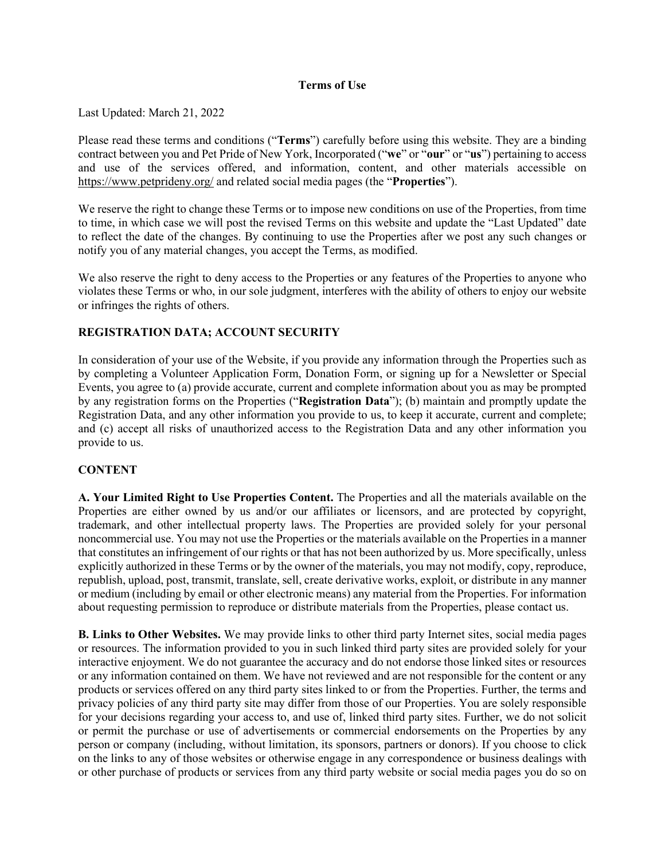#### **Terms of Use**

Last Updated: March 21, 2022

Please read these terms and conditions ("**Terms**") carefully before using this website. They are a binding contract between you and Pet Pride of New York, Incorporated ("**we**" or "**our**" or "**us**") pertaining to access and use of the services offered, and information, content, and other materials accessible on <https://www.petprideny.org/> and related social media pages (the "**Properties**").

We reserve the right to change these Terms or to impose new conditions on use of the Properties, from time to time, in which case we will post the revised Terms on this website and update the "Last Updated" date to reflect the date of the changes. By continuing to use the Properties after we post any such changes or notify you of any material changes, you accept the Terms, as modified.

We also reserve the right to deny access to the Properties or any features of the Properties to anyone who violates these Terms or who, in our sole judgment, interferes with the ability of others to enjoy our website or infringes the rights of others.

# **REGISTRATION DATA; ACCOUNT SECURITY**

In consideration of your use of the Website, if you provide any information through the Properties such as by completing a Volunteer Application Form, Donation Form, or signing up for a Newsletter or Special Events, you agree to (a) provide accurate, current and complete information about you as may be prompted by any registration forms on the Properties ("**Registration Data**"); (b) maintain and promptly update the Registration Data, and any other information you provide to us, to keep it accurate, current and complete; and (c) accept all risks of unauthorized access to the Registration Data and any other information you provide to us.

### **CONTENT**

**A. Your Limited Right to Use Properties Content.** The Properties and all the materials available on the Properties are either owned by us and/or our affiliates or licensors, and are protected by copyright, trademark, and other intellectual property laws. The Properties are provided solely for your personal noncommercial use. You may not use the Properties or the materials available on the Properties in a manner that constitutes an infringement of our rights or that has not been authorized by us. More specifically, unless explicitly authorized in these Terms or by the owner of the materials, you may not modify, copy, reproduce, republish, upload, post, transmit, translate, sell, create derivative works, exploit, or distribute in any manner or medium (including by email or other electronic means) any material from the Properties. For information about requesting permission to reproduce or distribute materials from the Properties, please contact us.

**B. Links to Other Websites.** We may provide links to other third party Internet sites, social media pages or resources. The information provided to you in such linked third party sites are provided solely for your interactive enjoyment. We do not guarantee the accuracy and do not endorse those linked sites or resources or any information contained on them. We have not reviewed and are not responsible for the content or any products or services offered on any third party sites linked to or from the Properties. Further, the terms and privacy policies of any third party site may differ from those of our Properties. You are solely responsible for your decisions regarding your access to, and use of, linked third party sites. Further, we do not solicit or permit the purchase or use of advertisements or commercial endorsements on the Properties by any person or company (including, without limitation, its sponsors, partners or donors). If you choose to click on the links to any of those websites or otherwise engage in any correspondence or business dealings with or other purchase of products or services from any third party website or social media pages you do so on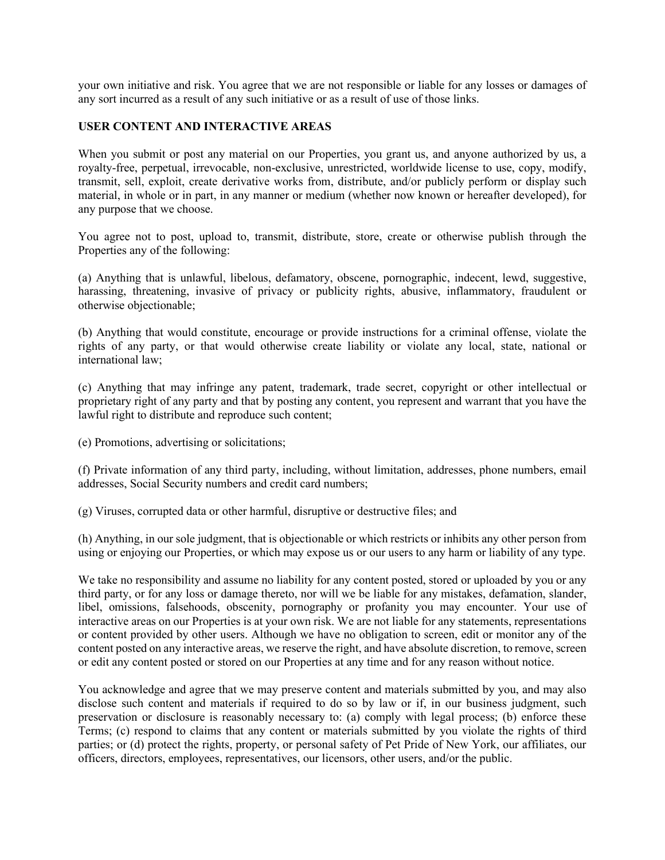your own initiative and risk. You agree that we are not responsible or liable for any losses or damages of any sort incurred as a result of any such initiative or as a result of use of those links.

### **USER CONTENT AND INTERACTIVE AREAS**

When you submit or post any material on our Properties, you grant us, and anyone authorized by us, a royalty-free, perpetual, irrevocable, non-exclusive, unrestricted, worldwide license to use, copy, modify, transmit, sell, exploit, create derivative works from, distribute, and/or publicly perform or display such material, in whole or in part, in any manner or medium (whether now known or hereafter developed), for any purpose that we choose.

You agree not to post, upload to, transmit, distribute, store, create or otherwise publish through the Properties any of the following:

(a) Anything that is unlawful, libelous, defamatory, obscene, pornographic, indecent, lewd, suggestive, harassing, threatening, invasive of privacy or publicity rights, abusive, inflammatory, fraudulent or otherwise objectionable;

(b) Anything that would constitute, encourage or provide instructions for a criminal offense, violate the rights of any party, or that would otherwise create liability or violate any local, state, national or international law;

(c) Anything that may infringe any patent, trademark, trade secret, copyright or other intellectual or proprietary right of any party and that by posting any content, you represent and warrant that you have the lawful right to distribute and reproduce such content;

(e) Promotions, advertising or solicitations;

(f) Private information of any third party, including, without limitation, addresses, phone numbers, email addresses, Social Security numbers and credit card numbers;

(g) Viruses, corrupted data or other harmful, disruptive or destructive files; and

(h) Anything, in our sole judgment, that is objectionable or which restricts or inhibits any other person from using or enjoying our Properties, or which may expose us or our users to any harm or liability of any type.

We take no responsibility and assume no liability for any content posted, stored or uploaded by you or any third party, or for any loss or damage thereto, nor will we be liable for any mistakes, defamation, slander, libel, omissions, falsehoods, obscenity, pornography or profanity you may encounter. Your use of interactive areas on our Properties is at your own risk. We are not liable for any statements, representations or content provided by other users. Although we have no obligation to screen, edit or monitor any of the content posted on any interactive areas, we reserve the right, and have absolute discretion, to remove, screen or edit any content posted or stored on our Properties at any time and for any reason without notice.

You acknowledge and agree that we may preserve content and materials submitted by you, and may also disclose such content and materials if required to do so by law or if, in our business judgment, such preservation or disclosure is reasonably necessary to: (a) comply with legal process; (b) enforce these Terms; (c) respond to claims that any content or materials submitted by you violate the rights of third parties; or (d) protect the rights, property, or personal safety of Pet Pride of New York, our affiliates, our officers, directors, employees, representatives, our licensors, other users, and/or the public.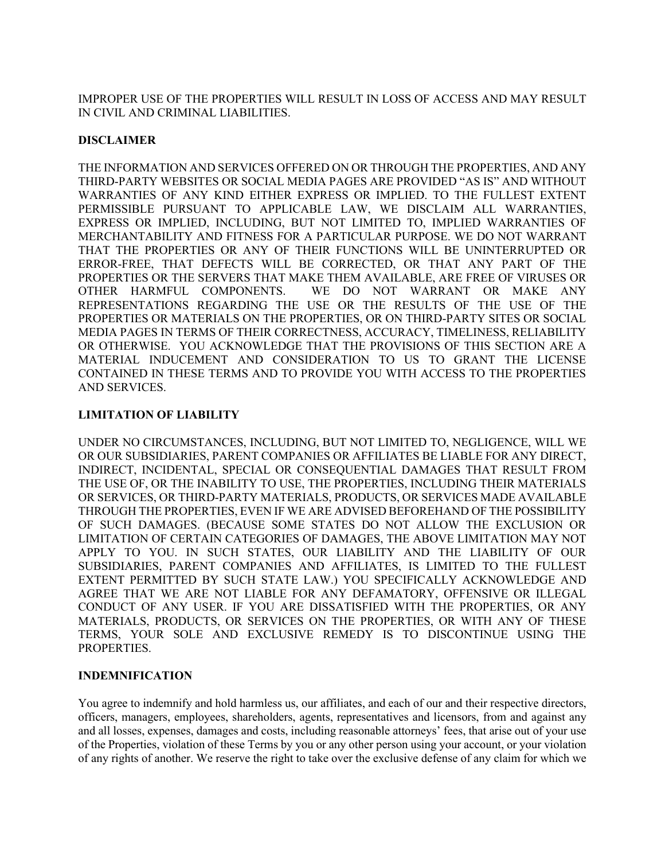IMPROPER USE OF THE PROPERTIES WILL RESULT IN LOSS OF ACCESS AND MAY RESULT IN CIVIL AND CRIMINAL LIABILITIES.

### **DISCLAIMER**

THE INFORMATION AND SERVICES OFFERED ON OR THROUGH THE PROPERTIES, AND ANY THIRD-PARTY WEBSITES OR SOCIAL MEDIA PAGES ARE PROVIDED "AS IS" AND WITHOUT WARRANTIES OF ANY KIND EITHER EXPRESS OR IMPLIED. TO THE FULLEST EXTENT PERMISSIBLE PURSUANT TO APPLICABLE LAW, WE DISCLAIM ALL WARRANTIES, EXPRESS OR IMPLIED, INCLUDING, BUT NOT LIMITED TO, IMPLIED WARRANTIES OF MERCHANTABILITY AND FITNESS FOR A PARTICULAR PURPOSE. WE DO NOT WARRANT THAT THE PROPERTIES OR ANY OF THEIR FUNCTIONS WILL BE UNINTERRUPTED OR ERROR-FREE, THAT DEFECTS WILL BE CORRECTED, OR THAT ANY PART OF THE PROPERTIES OR THE SERVERS THAT MAKE THEM AVAILABLE, ARE FREE OF VIRUSES OR OTHER HARMFUL COMPONENTS. WE DO NOT WARRANT OR MAKE ANY REPRESENTATIONS REGARDING THE USE OR THE RESULTS OF THE USE OF THE PROPERTIES OR MATERIALS ON THE PROPERTIES, OR ON THIRD-PARTY SITES OR SOCIAL MEDIA PAGES IN TERMS OF THEIR CORRECTNESS, ACCURACY, TIMELINESS, RELIABILITY OR OTHERWISE. YOU ACKNOWLEDGE THAT THE PROVISIONS OF THIS SECTION ARE A MATERIAL INDUCEMENT AND CONSIDERATION TO US TO GRANT THE LICENSE CONTAINED IN THESE TERMS AND TO PROVIDE YOU WITH ACCESS TO THE PROPERTIES AND SERVICES.

# **LIMITATION OF LIABILITY**

UNDER NO CIRCUMSTANCES, INCLUDING, BUT NOT LIMITED TO, NEGLIGENCE, WILL WE OR OUR SUBSIDIARIES, PARENT COMPANIES OR AFFILIATES BE LIABLE FOR ANY DIRECT, INDIRECT, INCIDENTAL, SPECIAL OR CONSEQUENTIAL DAMAGES THAT RESULT FROM THE USE OF, OR THE INABILITY TO USE, THE PROPERTIES, INCLUDING THEIR MATERIALS OR SERVICES, OR THIRD-PARTY MATERIALS, PRODUCTS, OR SERVICES MADE AVAILABLE THROUGH THE PROPERTIES, EVEN IF WE ARE ADVISED BEFOREHAND OF THE POSSIBILITY OF SUCH DAMAGES. (BECAUSE SOME STATES DO NOT ALLOW THE EXCLUSION OR LIMITATION OF CERTAIN CATEGORIES OF DAMAGES, THE ABOVE LIMITATION MAY NOT APPLY TO YOU. IN SUCH STATES, OUR LIABILITY AND THE LIABILITY OF OUR SUBSIDIARIES, PARENT COMPANIES AND AFFILIATES, IS LIMITED TO THE FULLEST EXTENT PERMITTED BY SUCH STATE LAW.) YOU SPECIFICALLY ACKNOWLEDGE AND AGREE THAT WE ARE NOT LIABLE FOR ANY DEFAMATORY, OFFENSIVE OR ILLEGAL CONDUCT OF ANY USER. IF YOU ARE DISSATISFIED WITH THE PROPERTIES, OR ANY MATERIALS, PRODUCTS, OR SERVICES ON THE PROPERTIES, OR WITH ANY OF THESE TERMS, YOUR SOLE AND EXCLUSIVE REMEDY IS TO DISCONTINUE USING THE PROPERTIES.

### **INDEMNIFICATION**

You agree to indemnify and hold harmless us, our affiliates, and each of our and their respective directors, officers, managers, employees, shareholders, agents, representatives and licensors, from and against any and all losses, expenses, damages and costs, including reasonable attorneys' fees, that arise out of your use of the Properties, violation of these Terms by you or any other person using your account, or your violation of any rights of another. We reserve the right to take over the exclusive defense of any claim for which we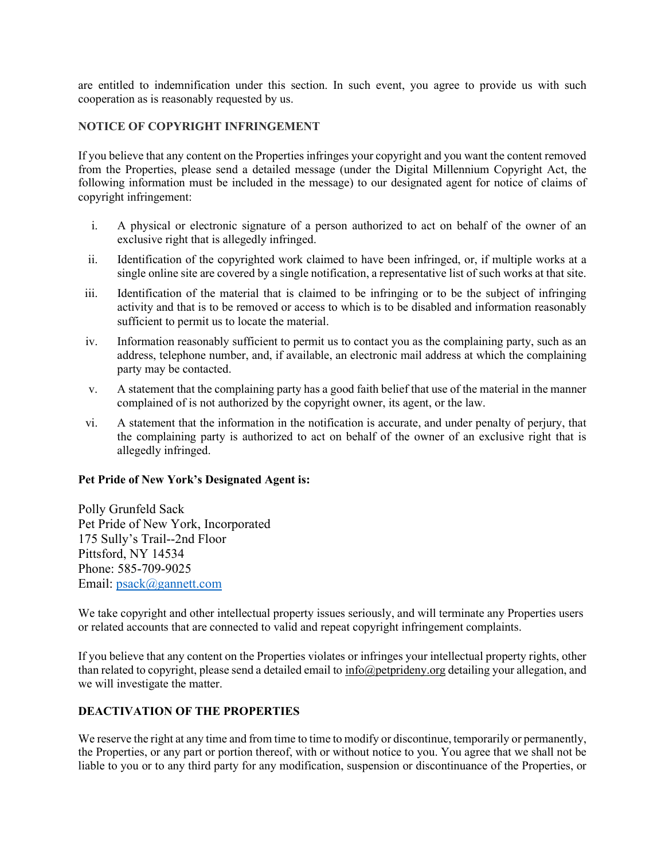are entitled to indemnification under this section. In such event, you agree to provide us with such cooperation as is reasonably requested by us.

## **NOTICE OF COPYRIGHT INFRINGEMENT**

If you believe that any content on the Properties infringes your copyright and you want the content removed from the Properties, please send a detailed message (under the Digital Millennium Copyright Act, the following information must be included in the message) to our designated agent for notice of claims of copyright infringement:

- i. A physical or electronic signature of a person authorized to act on behalf of the owner of an exclusive right that is allegedly infringed.
- ii. Identification of the copyrighted work claimed to have been infringed, or, if multiple works at a single online site are covered by a single notification, a representative list of such works at that site.
- iii. Identification of the material that is claimed to be infringing or to be the subject of infringing activity and that is to be removed or access to which is to be disabled and information reasonably sufficient to permit us to locate the material.
- iv. Information reasonably sufficient to permit us to contact you as the complaining party, such as an address, telephone number, and, if available, an electronic mail address at which the complaining party may be contacted.
- v. A statement that the complaining party has a good faith belief that use of the material in the manner complained of is not authorized by the copyright owner, its agent, or the law.
- vi. A statement that the information in the notification is accurate, and under penalty of perjury, that the complaining party is authorized to act on behalf of the owner of an exclusive right that is allegedly infringed.

### **Pet Pride of New York's Designated Agent is:**

Polly Grunfeld Sack Pet Pride of New York, Incorporated 175 Sully's Trail--2nd Floor Pittsford, NY 14534 Phone: 585-709-9025 Email: [psack@gannett.com](mailto:psack@gannett.com)

We take copyright and other intellectual property issues seriously, and will terminate any Properties users or related accounts that are connected to valid and repeat copyright infringement complaints.

If you believe that any content on the Properties violates or infringes your intellectual property rights, other than related to copyright, please send a detailed email to [info@petprideny.org](mailto:ppny@wny.twcbc.com) detailing your allegation, and we will investigate the matter.

## **DEACTIVATION OF THE PROPERTIES**

We reserve the right at any time and from time to time to modify or discontinue, temporarily or permanently, the Properties, or any part or portion thereof, with or without notice to you. You agree that we shall not be liable to you or to any third party for any modification, suspension or discontinuance of the Properties, or